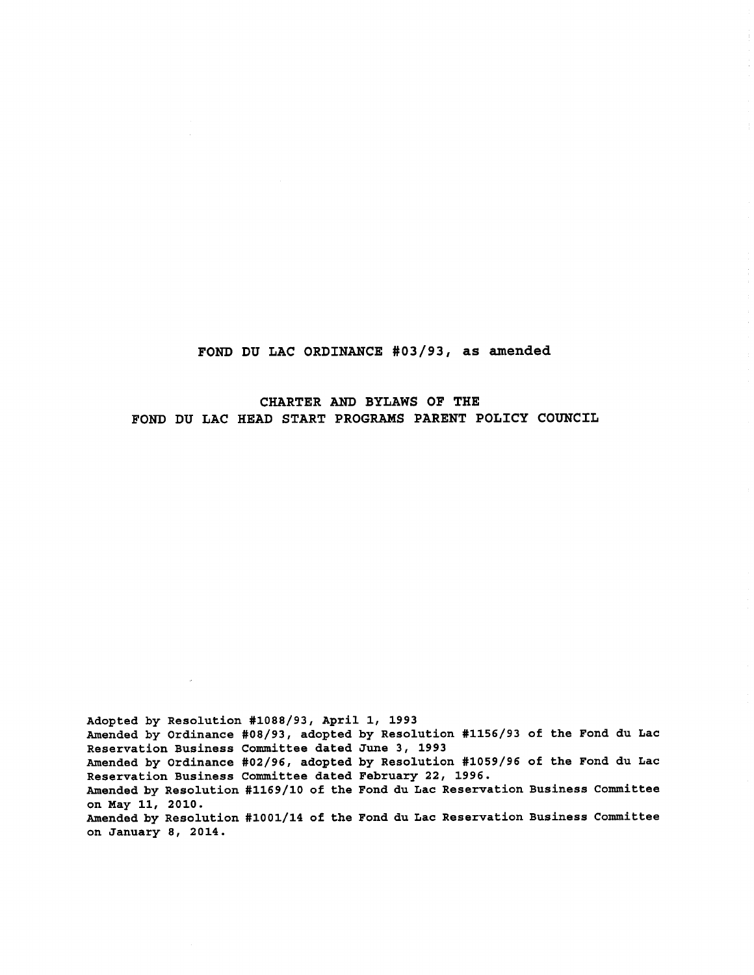FOND DU LAC ORDINANCE #03/93, as amended

CHARTER AND BYLAWS OF THE FOND DU LAC HEAD START PROGRAMS PARENT POLICY COUNCIL

Adopted by Resolution #1088/93, April 1, 1993 Amended by Ordinance #08/93, adopted by Resolution #1156/93 of the Fond du Lac Reservation Business Committee dated June 3, 1993 Amended by Ordinance #02/96, adopted by Resolution #1059/96 of the Fond du Lac Reservation Business Committee dated February 22, 1996. Amended by Resolution #1169/10 of the Fond du Lac Reservation Business Committee on May 11, 2010. Amended by Resolution #1001/14 of the Fond du Lac Reservation Business Committee on January 8, 2014.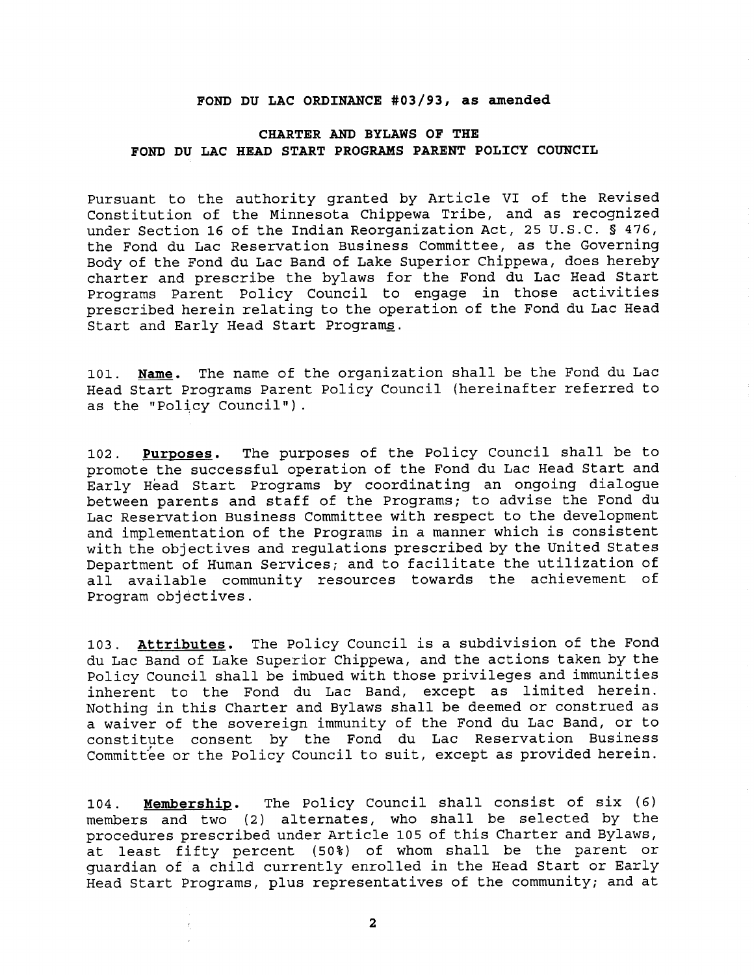## **FOND DU LAC ORDINANCE #03/93, as amended**

## **CHARTER AND BYLAWS OF THE FOND DU LAC HEAD START PROGRAMS PARENT POLICY COUNCIL**

Pursuant to the authority granted by Article VI of the Revised Constitution of the Minnesota Chippewa Tribe, and as recognized under Section 16 of the Indian Reorganization Act, 25 U.S.C. § 476, the Fond du Lac Reservation Business Committee, as the Governing Body of the Fond du Lac Band of Lake Superior Chippewa, does hereby charter and prescribe the bylaws for the Fond du Lac Head Start Programs Parent Policy Council to engage in those activities prescribed herein relating to the operation of the Fond du Lac Head Start and Early Head Start Programs.

101. Name. The name of the organization shall be the Fond du Lac Head Start Programs Parent Policy Council (hereinafter referred to as the "Policy Council").

**102. Purposes.** The purposes of the Policy Council shall be to promote the successful operation of the Fond du Lac Head Start and Early Head Start Programs by coordinating an ongoing dialogue between parents and staff of the Programs; to advise the Fond du Lac Reservation Business Committee with respect to the development and implementation of the Programs in a manner which is consistent with the objectives and regulations prescribed by the United States Department of Human Services; and to facilitate the utilization of all available community resources towards the achievement of Program objectives.

**103. Attributes.** The Policy Council is a subdivision of the Fond du Lac Band of Lake Superior Chippewa, and the actions taken by the Policy Council shall be imbued with those privileges and immunities inherent to the Fond du Lac Band, except as limited herein. Nothing in this Charter and Bylaws shall be deemed or construed as a waiver of the sovereign immunity of the Fond du Lac Band, or to constitute consent by the Fond du Lac Reservation Business Committee or the Policy Council to suit, except as provided herein.

**104. Membership.** The Policy Council shall consist of six (6) members and two (2) alternates, who shall be selected by the procedures prescribed under Article 105 of this Charter and Bylaws, at least fifty percent (50%) of whom shall be the parent or guardian of a child currently enrolled in the Head Start or Early Head Start Programs, plus representatives of the community; and at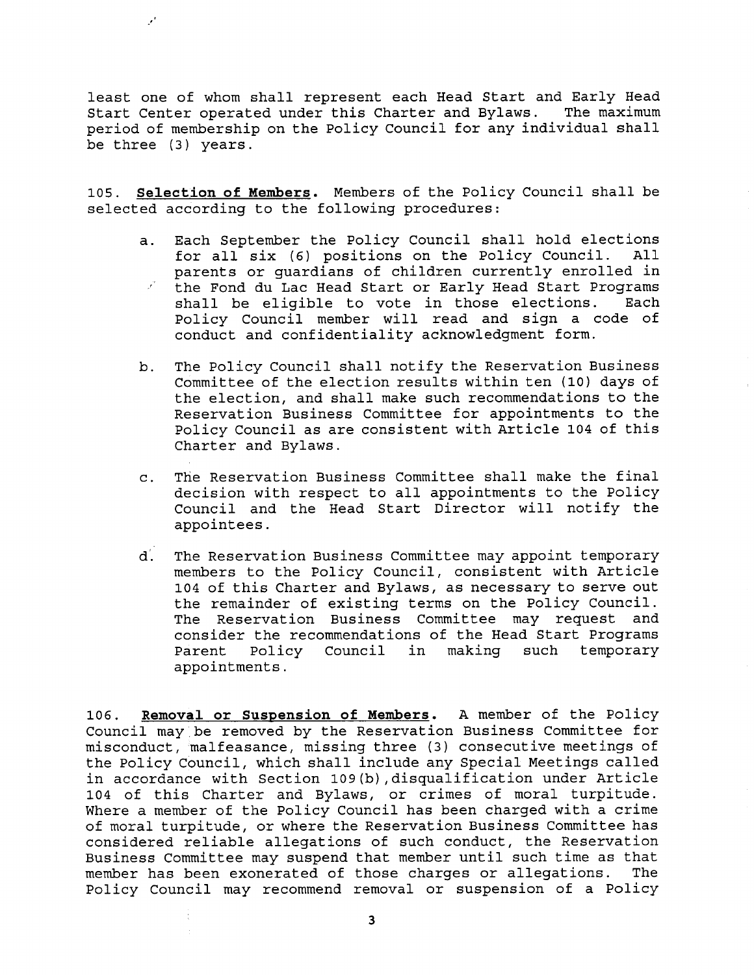least one of whom shall represent each Head Start and Early Head Start Center operated under this Charter and Bylaws. The maximum period of membership on the Policy Council for any individual shall be three (3) years.

 $\mathcal{E}$ 

105. **Selection of Members.** Members of the Policy Council shall be selected according to the following procedures:

- a. Each September the Policy Council shall hold elections<br>for all six (6) positions on the Policy Council. All for all six (6) positions on the Policy Council. parents or guardians of children currently enrolled in the Fond du Lac Head Start or Early Head Start Programs shall be eligible to vote in those elections. Each Policy Council member will read and sign a code of conduct and confidentiality acknowledgment form.
- b. The Policy Council shall notify the Reservation Business Committee of the election results within ten (10) days of the election, and shall make such recommendations to the Reservation Business Committee for appointments to the Policy Council as are consistent with Article 104 of this Charter and Bylaws.
- c. The Reservation Business Committee shall make the final decision with respect to all appointments to the Policy Council and the Head Start Director will notify the appointees.
- d. The Reservation Business Committee may appoint temporary members to the Policy Council, consistent with Article 104 of this Charter and Bylaws, as necessary to serve out the remainder of existing terms on the Policy Council. The Reservation Business Committee may request and consider the recommendations of the Head Start Programs Parent Policy Council in making such temporary appointments.

106. **Removal or Suspension of Members.** A member of the Policy Council may be removed by the Reservation Business Committee for misconduct, malfeasance, missing three (3) consecutive meetings of the Policy Council, which shall include any Special Meetings called in accordance with Section 109(b),disqualification under Article 104 of this Charter and Bylaws, or crimes of moral turpitude. Where a member of the Policy Council has been charged with a crime of moral turpitude, or where the Reservation Business Committee has considered reliable allegations of such conduct, the Reservation Business Committee may suspend that member until such time as that member has been exonerated of those charges or allegations. The Policy Council may recommend removal or suspension of a Policy

**3**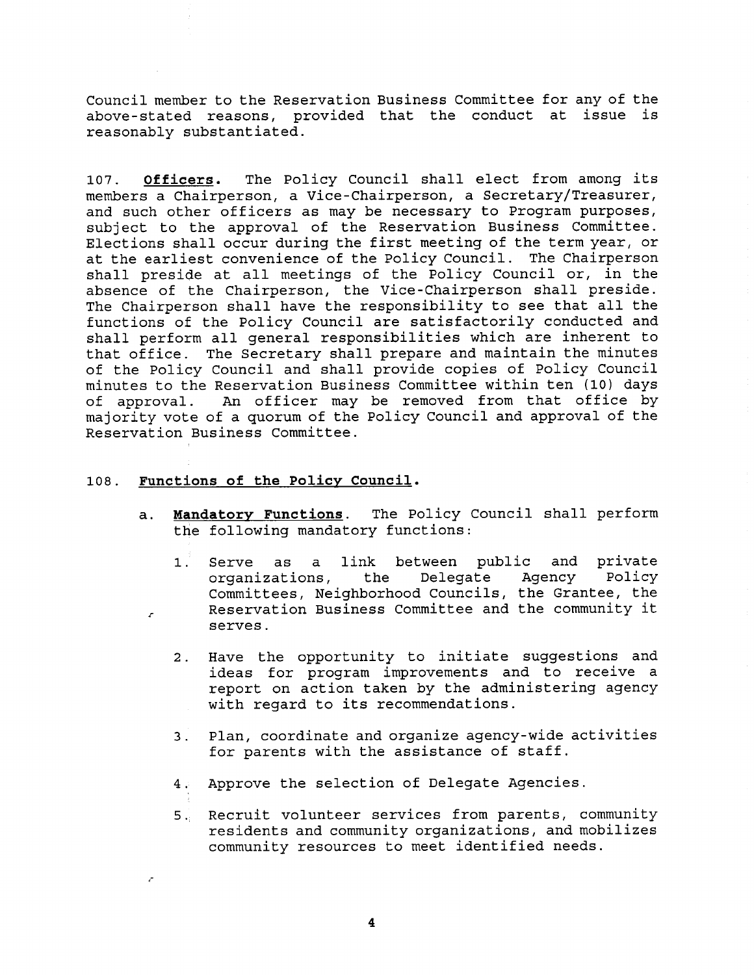Council member to the Reservation Business Committee for any of the above-stated reasons, provided that the conduct at issue is reasonably substantiated.

**107. Officers.** The Policy Council shall elect from among its members a Chairperson, a Vice-Chairperson, a Secretary/Treasurer, and such other officers as may be necessary to Program purposes, subject to the approval of the Reservation Business Committee. Elections shall occur during the first meeting of the term year, or at the earliest convenience of the Policy Council. The Chairperson shall preside at all meetings of the Policy Council or, in the absence of the Chairperson, the Vice-Chairperson shall preside. The Chairperson shall have the responsibility to see that all the functions of the Policy Council are satisfactorily conducted and shall perform all general responsibilities which are inherent to that office. The Secretary shall prepare and maintain the minutes of the Policy Council and shall provide copies of Policy Council minutes to the Reservation Business Committee within ten (10) days of approval. An officer may be removed from that office by majority vote of a quorum of the Policy Council and approval of the Reservation Business Committee.

## 108. Functions of the Policy Council.

 $\mathcal{L}$ 

- a. **Mandatory Functions.** The Policy Council shall perform the following mandatory functions:
	- 1. Serve as a link between public and private<br>organizations, the Delegate Agency Policy organizations, the Delegate Agency Policy Committees, Neighborhood Councils, the Grantee, the Reservation Business Committee and the community it serves.
	- 2. Have the opportunity to initiate suggestions and ideas for program improvements and to receive a report on action taken by the administering agency with regard to its recommendations.
	- 3. Plan, coordinate and organize agency-wide activities for parents with the assistance of staff.
	- 4. Approve the selection of Delegate Agencies.
	- 5. Recruit volunteer services from parents, community residents and community organizations, and mobilizes community resources to meet identified needs.

**4**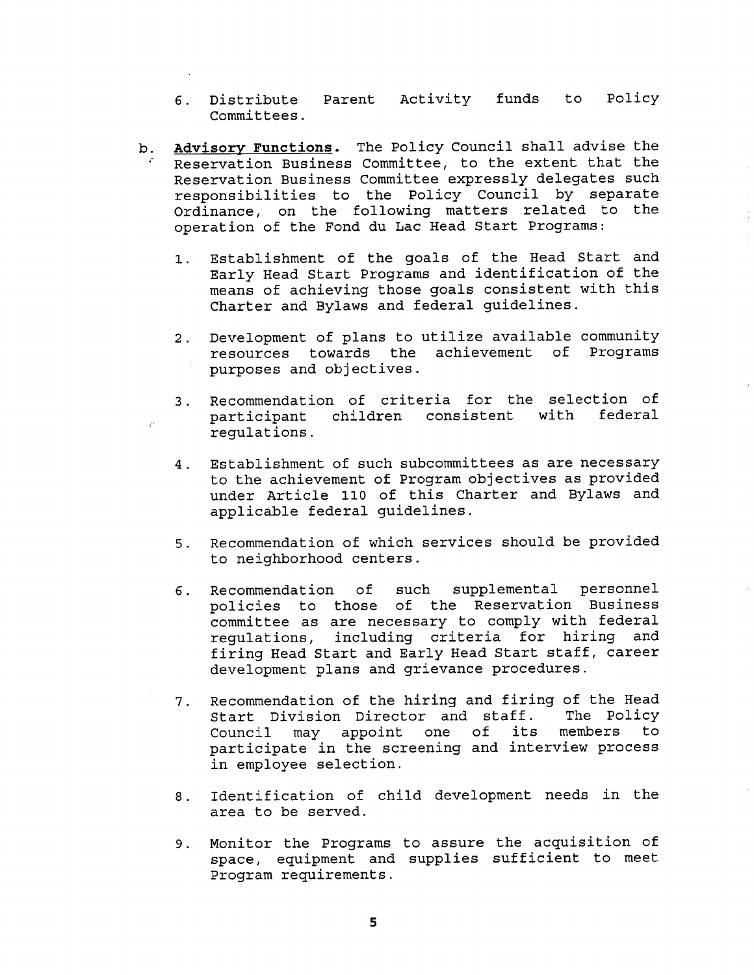- 6. Distribute Parent Activity funds to Policy Committees.
- b. **Advisory Functions.** The Policy Council shall advise the Reservation Business Committee, to the extent that the Reservation Business Committee expressly delegates such responsibilities to the Policy Council by separate Ordinance, on the following matters related to the operation of the Fond du Lac Head Start Programs:
	- 1. Establishment of the goals of the Head Start and Early Head Start Programs and identification of the means of achieving those goals consistent with this Charter and Bylaws and federal guidelines.
	- 2. Development of plans to utilize available community resources towards the achievement of Programs purposes and objectives.
	- 3. Recommendation of criteria for the selection of children consistent regulations.
	- 4. Establishment of such subcommittees as are necessary to the achievement of Program objectives as provided under Article 110 of this Charter and Bylaws and applicable federal guidelines.
	- 5. Recommendation of which services should be provided to neighborhood centers.
	- 6. Recommendation of such supplemental personnel policies to those of the Reservation Business committee as are necessary to comply with federal regulations, including criteria for hiring and firing Head Start and Early Head Start staff, career development plans and grievance procedures.
	- 7. Recommendation of the hiring and firing of the Head<br>Start Division Director and staff. The Policy Start Division Director and staff. The Policy<br>Council may appoint one of its members to may appoint one of its participate in the screening and interview process in employee selection.
	- 8. Identification of child development needs in the area to be served.
	- 9. Monitor the Programs to assure the acquisition of space, equipment and supplies sufficient to meet Program requirements.

**5**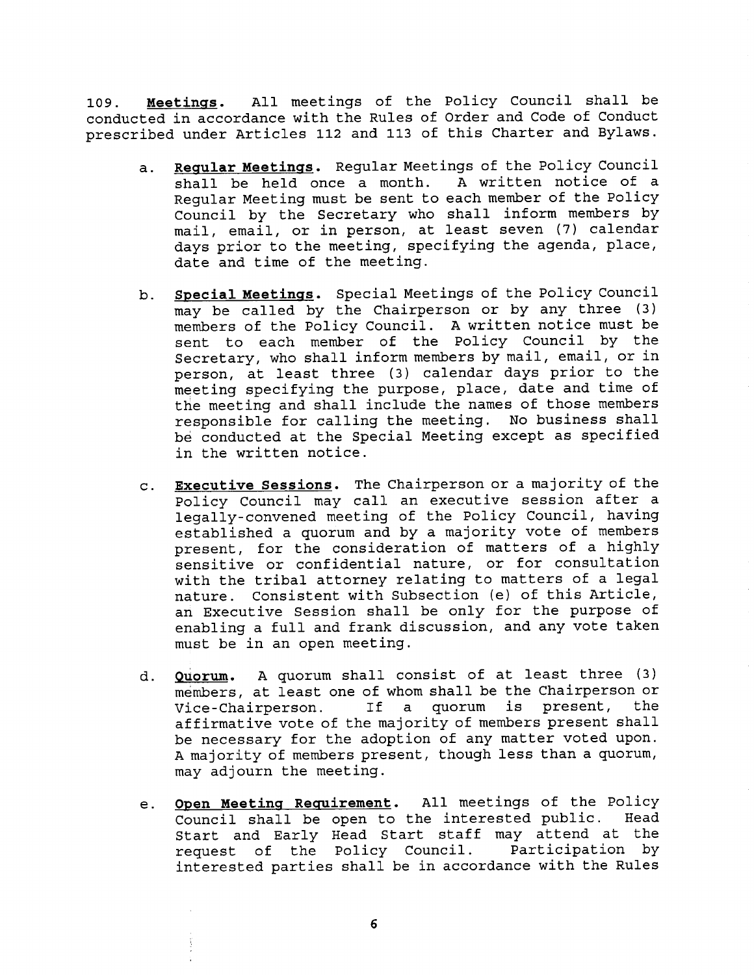109. **Meetings.** All meetings of the Policy Council shall be conducted in accordance with the Rules of Order and Code of Conduct prescribed under Articles 112 and 113 of this Charter and Bylaws.

- a. **Regular Meetings.** Regular Meetings of the Policy Council shall be held once a month. A written notice of a Regular Meeting must be sent to each member of the Policy Council by the Secretary who shall inform members by mail, email, or in person, at least seven (7) calendar days prior to the meeting, specifying the agenda, place, date and time of the meeting.
- b. **Special Meetings.** Special Meetings of the Policy Council may be called by the Chairperson or by any three (3) members of the Policy Council. A written notice must be sent to each member of the Policy Council by the Secretary, who shall inform members by mail, email, or in person, at least three (3) calendar days prior to the meeting specifying the purpose, place, date and time of the meeting and shall include the names of those members responsible for calling the meeting. No business shall be conducted at the Special Meeting except as specified in the written notice.
- **c. Executive Sessions.** The Chairperson or a majority of the Policy Council may call an executive session after a legally-convened meeting of the Policy Council, having established a quorum and by a majority vote of members present, for the consideration of matters of a highly sensitive or confidential nature, or for consultation with the tribal attorney relating to matters of a legal nature. Consistent with Subsection (e) of this Article, an Executive Session shall be only for the purpose of enabling a full and frank discussion, and any vote taken must be in an open meeting.
- **d. Ouorum.** A quorum shall consist of at least three (3) members, at least one of whom shall be the Chairperson or Vice-Chairperson. If a quorum is present, the affirmative vote of the majority of members present shall be necessary for the adoption of any matter voted upon. A majority of members present, though less than a quorum, may adjourn the meeting.
- **Open Meeting Requirement.** All meetings of the Policy e. Council shall be open to the interested public. Head Start and Early Head Start staff may attend at the request of the Policy Council. Participation by interested parties shall be in accordance with the Rules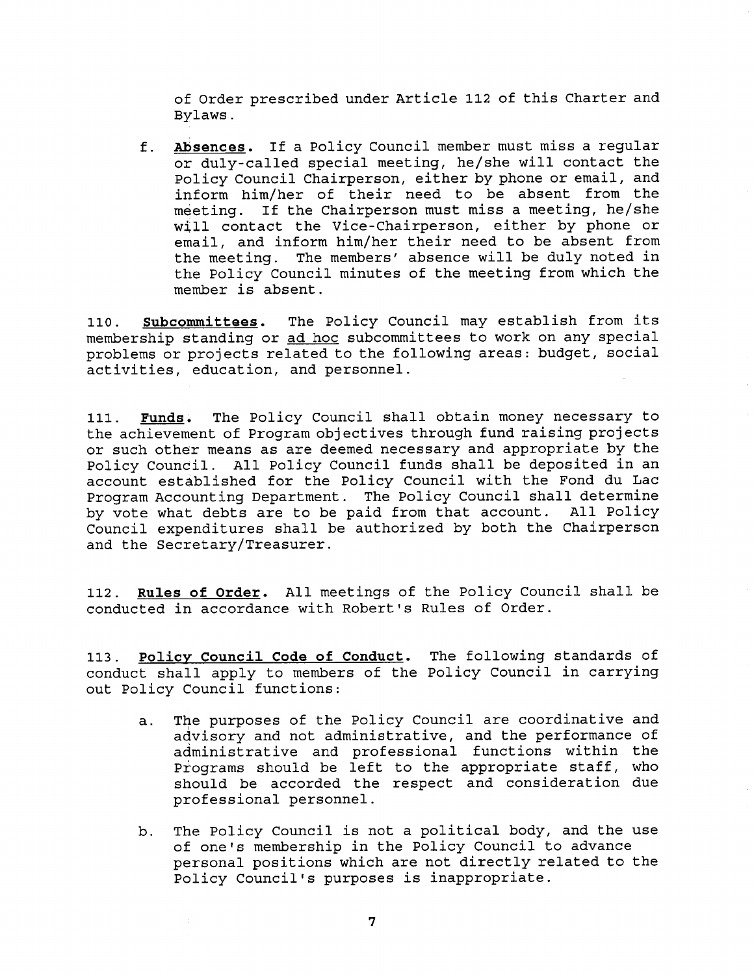of Order prescribed under Article 112 of this Charter and Bylaws.

f. **Absences.** If a Policy Council member must miss a regular or duly-called special meeting, he/she will contact the Policy Council Chairperson, either by phone or email, and inform him/her of their need to be absent from the meeting. If the Chairperson must miss a meeting, he/she will contact the Vice-Chairperson, either by phone or email, and inform him/her their need to be absent from the meeting. The members' absence will be duly noted in the Policy Council minutes of the meeting from which the member is absent.

**110. Subcommittees.** The Policy Council may establish from its membership standing or ad hoc subcommittees to work on any special problems or projects related to the following areas: budget, social activities, education, and personnel.

**111. Funds.** The Policy Council shall obtain money necessary to the achievement of Program objectives through fund raising projects or such other means as are deemed necessary and appropriate by the Policy Council. All Policy Council funds shall be deposited in an account established for the Policy Council with the Fond du Lac Program Accounting Department. The Policy Council shall determine by vote what debts are to be paid from that account. All Policy Council expenditures shall be authorized by both the Chairperson and the Secretary/Treasurer.

**112. Rules of Order.** All meetings of the Policy Council shall be conducted in accordance with Robert's Rules of Order.

**113. Policy Council Code of Conduct.** The following standards of conduct shall apply to members of the Policy Council in carrying out Policy Council functions:

- a. The purposes of the Policy Council are coordinative and advisory and not administrative, and the performance of administrative and professional functions within the Programs should be left to the appropriate staff, who should be accorded the respect and consideration due professional personnel.
- b. The Policy Council is not a political body, and the use of one's membership in the Policy Council to advance personal positions which are not directly related to the Policy Council's purposes is inappropriate.